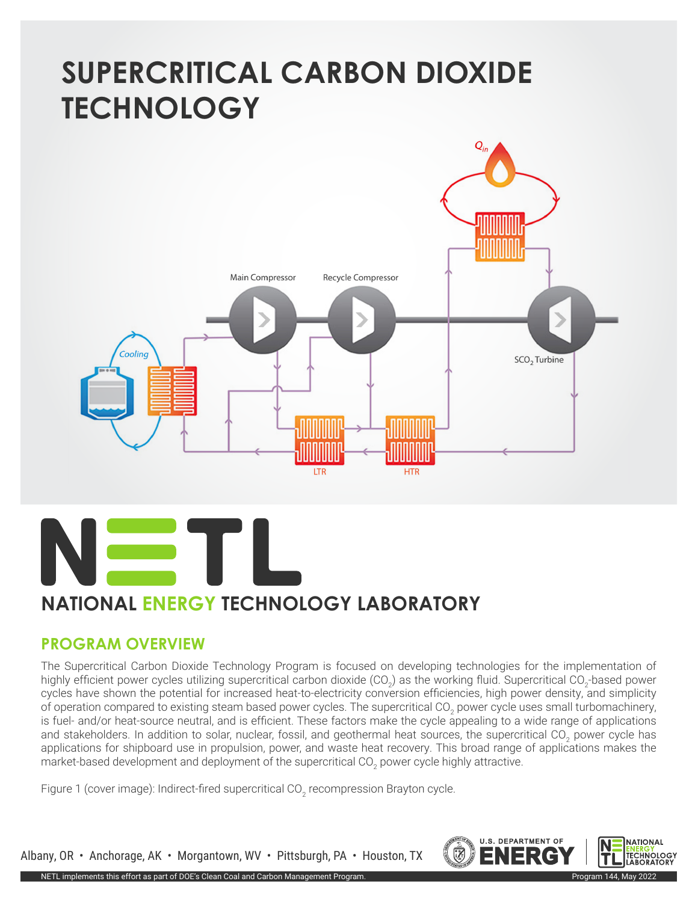# **SUPERCRITICAL CARBON DIOXIDE TECHNOLOGY**





#### **PROGRAM OVERVIEW**

The Supercritical Carbon Dioxide Technology Program is focused on developing technologies for the implementation of highly efficient power cycles utilizing supercritical carbon dioxide (CO<sub>2</sub>) as the working fluid. Supercritical CO<sub>2</sub>-based power cycles have shown the potential for increased heat-to-electricity conversion efficiencies, high power density, and simplicity of operation compared to existing steam based power cycles. The supercritical CO<sub>2</sub> power cycle uses small turbomachinery, is fuel- and/or heat-source neutral, and is efficient. These factors make the cycle appealing to a wide range of applications and stakeholders. In addition to solar, nuclear, fossil, and geothermal heat sources, the supercritical CO<sub>2</sub> power cycle has applications for shipboard use in propulsion, power, and waste heat recovery. This broad range of applications makes the market-based development and deployment of the supercritical CO<sub>2</sub> power cycle highly attractive.

Figure 1 (cover image): Indirect-fired supercritical CO<sub>2</sub> recompression Brayton cycle.



Albany, OR • Anchorage, AK • Morgantown, WV • Pittsburgh, PA • Houston, TX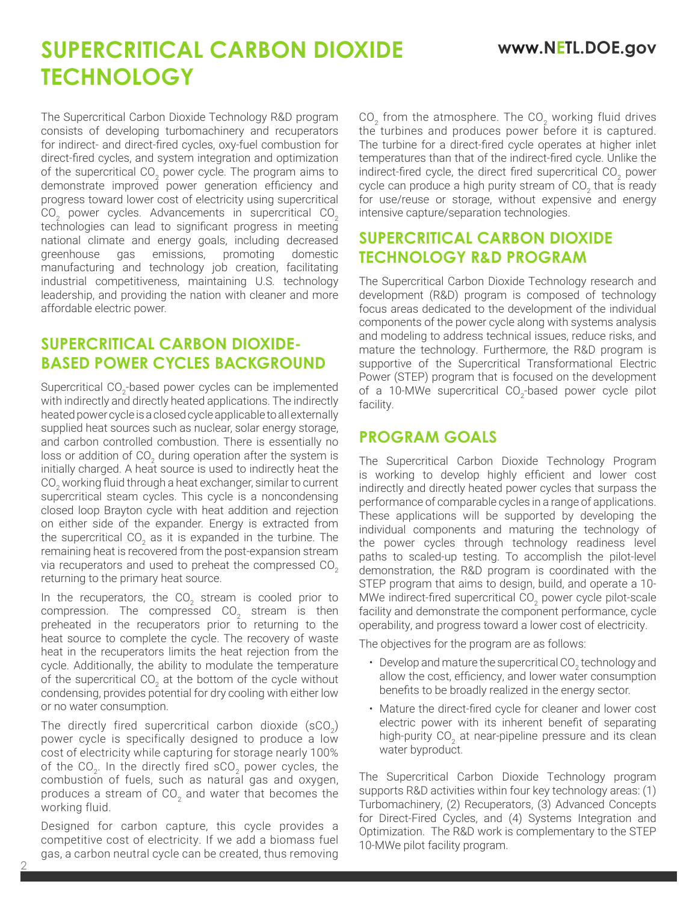## **SUPERCRITICAL CARBON DIOXIDE www.NETL.DOE.gov TECHNOLOGY**

The Supercritical Carbon Dioxide Technology R&D program consists of developing turbomachinery and recuperators for indirect- and direct-fired cycles, oxy-fuel combustion for direct-fired cycles, and system integration and optimization of the supercritical CO<sub>2</sub> power cycle. The program aims to demonstrate improved power generation efficiency and progress toward lower cost of electricity using supercritical CO<sub>2</sub> power cycles. Advancements in supercritical CO<sub>2</sub> technologies can lead to significant progress in meeting national climate and energy goals, including decreased greenhouse gas emissions, promoting domestic manufacturing and technology job creation, facilitating industrial competitiveness, maintaining U.S. technology leadership, and providing the nation with cleaner and more affordable electric power.

#### **SUPERCRITICAL CARBON DIOXIDE-BASED POWER CYCLES BACKGROUND**

Supercritical CO<sub>2</sub>-based power cycles can be implemented with indirectly and directly heated applications. The indirectly heated power cycle is a closed cycle applicable to all externally supplied heat sources such as nuclear, solar energy storage, and carbon controlled combustion. There is essentially no loss or addition of CO<sub>2</sub> during operation after the system is initially charged. A heat source is used to indirectly heat the CO $_{\rm _2}$  working fluid through a heat exchanger, similar to current supercritical steam cycles. This cycle is a noncondensing closed loop Brayton cycle with heat addition and rejection on either side of the expander. Energy is extracted from the supercritical CO<sub>2</sub> as it is expanded in the turbine. The remaining heat is recovered from the post-expansion stream via recuperators and used to preheat the compressed CO<sub>2</sub> returning to the primary heat source.

In the recuperators, the CO<sub>2</sub> stream is cooled prior to compression. The compressed CO<sub>2</sub> stream is then preheated in the recuperators prior to returning to the heat source to complete the cycle. The recovery of waste heat in the recuperators limits the heat rejection from the cycle. Additionally, the ability to modulate the temperature of the supercritical CO<sub>2</sub> at the bottom of the cycle without condensing, provides potential for dry cooling with either low or no water consumption.

The directly fired supercritical carbon dioxide  $(SCO<sub>2</sub>)$ power cycle is specifically designed to produce a low cost of electricity while capturing for storage nearly 100% of the  $CO<sub>2</sub>$ . In the directly fired  $SCO<sub>2</sub>$  power cycles, the combustion of fuels, such as natural gas and oxygen, produces a stream of  $CO<sub>2</sub>$  and water that becomes the working fluid.

Designed for carbon capture, this cycle provides a competitive cost of electricity. If we add a biomass fuel gas, a carbon neutral cycle can be created, thus removing

2

 $CO<sub>2</sub>$  from the atmosphere. The  $CO<sub>2</sub>$  working fluid drives the turbines and produces power before it is captured. The turbine for a direct-fired cycle operates at higher inlet temperatures than that of the indirect-fired cycle. Unlike the indirect-fired cycle, the direct fired supercritical CO<sub>2</sub> power cycle can produce a high purity stream of CO<sub>2</sub> that is ready for use/reuse or storage, without expensive and energy intensive capture/separation technologies.

### **SUPERCRITICAL CARBON DIOXIDE TECHNOLOGY R&D PROGRAM**

The Supercritical Carbon Dioxide Technology research and development (R&D) program is composed of technology focus areas dedicated to the development of the individual components of the power cycle along with systems analysis and modeling to address technical issues, reduce risks, and mature the technology. Furthermore, the R&D program is supportive of the Supercritical Transformational Electric Power (STEP) program that is focused on the development of a 10-MWe supercritical  $CO<sub>2</sub>$ -based power cycle pilot facility.

### **PROGRAM GOALS**

The Supercritical Carbon Dioxide Technology Program is working to develop highly efficient and lower cost indirectly and directly heated power cycles that surpass the performance of comparable cycles in a range of applications. These applications will be supported by developing the individual components and maturing the technology of the power cycles through technology readiness level paths to scaled-up testing. To accomplish the pilot-level demonstration, the R&D program is coordinated with the STEP program that aims to design, build, and operate a 10- MWe indirect-fired supercritical CO<sub>2</sub> power cycle pilot-scale facility and demonstrate the component performance, cycle operability, and progress toward a lower cost of electricity.

The objectives for the program are as follows:

- Develop and mature the supercritical CO<sub>2</sub> technology and allow the cost, efficiency, and lower water consumption benefits to be broadly realized in the energy sector.
- Mature the direct-fired cycle for cleaner and lower cost electric power with its inherent benefit of separating high-purity CO<sub>2</sub> at near-pipeline pressure and its clean water byproduct.

The Supercritical Carbon Dioxide Technology program supports R&D activities within four key technology areas: (1) Turbomachinery, (2) Recuperators, (3) Advanced Concepts for Direct-Fired Cycles, and (4) Systems Integration and Optimization. The R&D work is complementary to the STEP 10-MWe pilot facility program.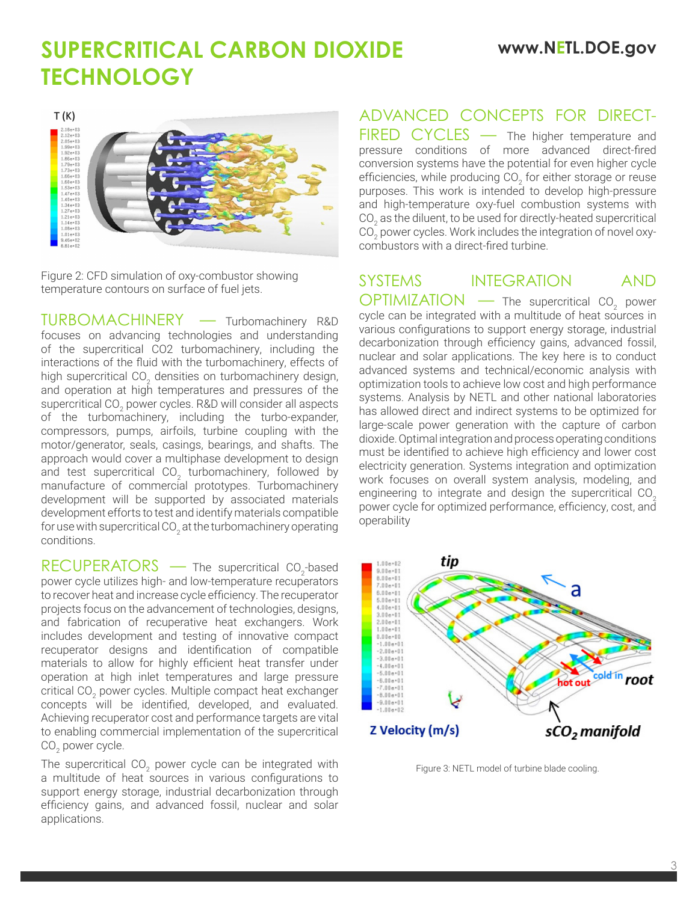### **SUPERCRITICAL CARBON DIOXIDE www.NETL.DOE.gov TECHNOLOGY**



Figure 2: CFD simulation of oxy-combustor showing temperature contours on surface of fuel jets.

TURBOMACHINERY — Turbomachinery R&D focuses on advancing technologies and understanding of the supercritical CO2 turbomachinery, including the interactions of the fluid with the turbomachinery, effects of high supercritical CO<sub>2</sub> densities on turbomachinery design, and operation at high temperatures and pressures of the supercritical CO $_{\textrm{\tiny{2}}}$  power cycles. R&D will consider all aspects of the turbomachinery, including the turbo-expander, compressors, pumps, airfoils, turbine coupling with the motor/generator, seals, casings, bearings, and shafts. The approach would cover a multiphase development to design and test supercritical CO<sub>2</sub> turbomachinery, followed by manufacture of commercial prototypes. Turbomachinery development will be supported by associated materials development efforts to test and identify materials compatible for use with supercritical CO $_{\tiny 2}$  at the turbomachinery operating conditions.

 $RECUPERATORS$  — The supercritical  $CO<sub>2</sub>$ -based power cycle utilizes high- and low-temperature recuperators to recover heat and increase cycle efficiency. The recuperator projects focus on the advancement of technologies, designs, and fabrication of recuperative heat exchangers. Work includes development and testing of innovative compact recuperator designs and identification of compatible materials to allow for highly efficient heat transfer under operation at high inlet temperatures and large pressure critical CO<sub>2</sub> power cycles. Multiple compact heat exchanger concepts will be identified, developed, and evaluated. Achieving recuperator cost and performance targets are vital to enabling commercial implementation of the supercritical CO $_{\rm 2}$  power cycle.

The supercritical CO<sub>2</sub> power cycle can be integrated with a multitude of heat sources in various configurations to support energy storage, industrial decarbonization through efficiency gains, and advanced fossil, nuclear and solar applications.

### ADVANCED CONCEPTS FOR DIRECT-

FIRED CYCLES — The higher temperature and pressure conditions of more advanced direct-fired conversion systems have the potential for even higher cycle efficiencies, while producing CO<sub>2</sub> for either storage or reuse purposes. This work is intended to develop high-pressure and high-temperature oxy-fuel combustion systems with CO $_{\textrm{\tiny{2}}}$  as the diluent, to be used for directly-heated supercritical CO $_{\textrm{\tiny{2}}}$  power cycles. Work includes the integration of novel oxycombustors with a direct-fired turbine.

#### SYSTEMS INTEGRATION AND

 $OPTIMIZATION \t -$  The supercritical CO<sub>2</sub> power cycle can be integrated with a multitude of heat sources in various configurations to support energy storage, industrial decarbonization through efficiency gains, advanced fossil, nuclear and solar applications. The key here is to conduct advanced systems and technical/economic analysis with optimization tools to achieve low cost and high performance systems. Analysis by NETL and other national laboratories has allowed direct and indirect systems to be optimized for large-scale power generation with the capture of carbon dioxide. Optimal integration and process operating conditions must be identified to achieve high efficiency and lower cost electricity generation. Systems integration and optimization work focuses on overall system analysis, modeling, and engineering to integrate and design the supercritical CO<sub>2</sub> power cycle for optimized performance, efficiency, cost, and operability



Figure 3: NETL model of turbine blade cooling.